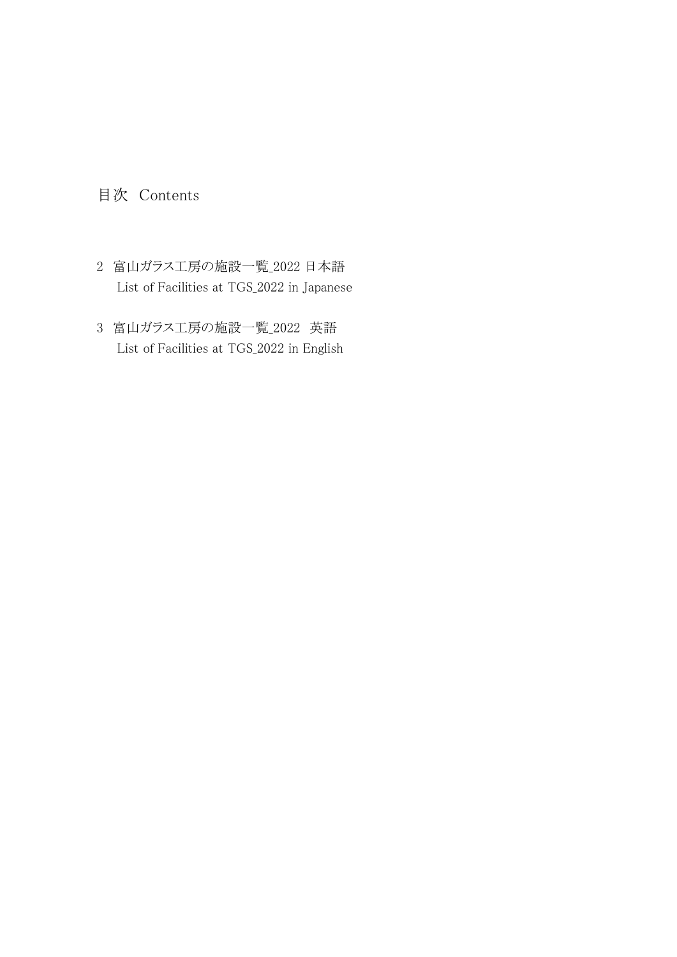## 目次 Contents

- 2 富山ガラス工房の施設一覧\_2022 日本語 List of Facilities at TGS\_2022 in Japanese
- 3 富山ガラス工房の施設一覧\_2022 英語 List of Facilities at TGS\_2022 in English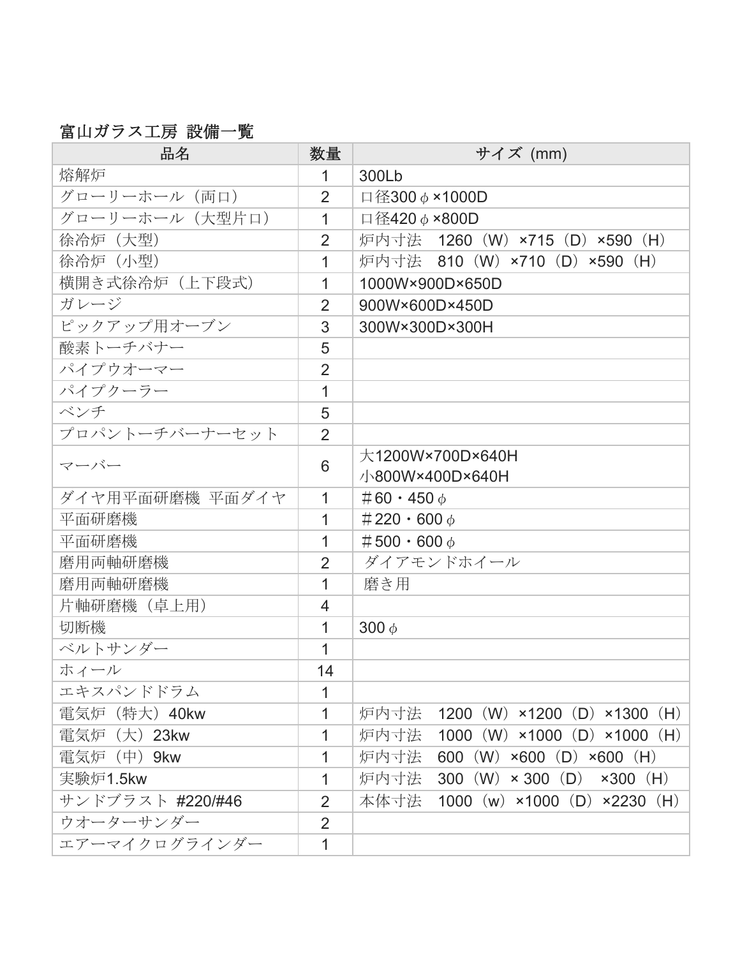## 富山ガラス工房 設備一覧

| 品名               | 数量             | サイズ (mm)                                             |
|------------------|----------------|------------------------------------------------------|
| 熔解炉              | $\mathbf 1$    | 300Lb                                                |
| グローリーホール (両口)    | $\overline{2}$ | 口径300 $\phi$ ×1000D                                  |
| グローリーホール (大型片口)  | 1              | 口径420 ¢ ×800D                                        |
| 徐冷炉 (大型)         | $\overline{2}$ | 炉内寸法 1260 (W) ×715 (D) ×590 (H)                      |
| 徐冷炉(小型)          | 1              | 炉内寸法 810 (W) ×710 (D) ×590 (H)                       |
| 横開き式徐冷炉(上下段式)    | 1              | 1000W×900D×650D                                      |
| ガレージ             | $\overline{2}$ | 900W×600D×450D                                       |
| ピックアップ用オーブン      | 3              | 300W×300D×300H                                       |
| 酸素トーチバナー         | 5              |                                                      |
| パイプウオーマー         | $\overline{2}$ |                                                      |
| パイプクーラー          | 1              |                                                      |
| ベンチ              | 5              |                                                      |
| プロパントーチバーナーセット   | $\overline{2}$ |                                                      |
| マーバー             | 6              | 大1200W×700D×640H<br>小800W×400D×640H                  |
| ダイヤ用平面研磨機 平面ダイヤ  | 1              | $#60 \cdot 450 \phi$                                 |
| 平面研磨機            | 1              | $#220 \cdot 600 \phi$                                |
| 平面研磨機            | 1              | $#500 \cdot 600 \phi$                                |
| 磨用両軸研磨機          | $\overline{2}$ | ダイアモンドホイール                                           |
| 磨用両軸研磨機          | 1              | 磨き用                                                  |
| 片軸研磨機 (卓上用)      | 4              |                                                      |
| 切断機              | 1              | 300 $\phi$                                           |
| ベルトサンダー          | 1              |                                                      |
| ホィール             | 14             |                                                      |
| エキスパンドドラム        | 1              |                                                      |
| 電気炉 (特大) 40kw    | 1              | 炉内寸法 1200 (W) ×1200 (D) ×1300 (H)                    |
| 電気炉 (大) 23kw     | 1              | 1000 (W) $\times$ 1000 (D) $\times$ 1000 (H)<br>炉内寸法 |
| 電気炉 (中) 9kw      | 1              | 600 (W) $\times$ 600 (D) $\times$ 600 (H)<br>炉内寸法    |
| 実験炉1.5kw         | 1              | 300 (W) $\times$ 300 (D)<br>炉内寸法<br>$\times 300$ (H) |
| サンドブラスト #220/#46 | $\overline{2}$ | 本体寸法<br>1000 (w) $\times$ 1000 (D) $\times$ 2230 (H) |
| ウオーターサンダー        | $\overline{2}$ |                                                      |
| エアーマイクログラインダー    | 1              |                                                      |